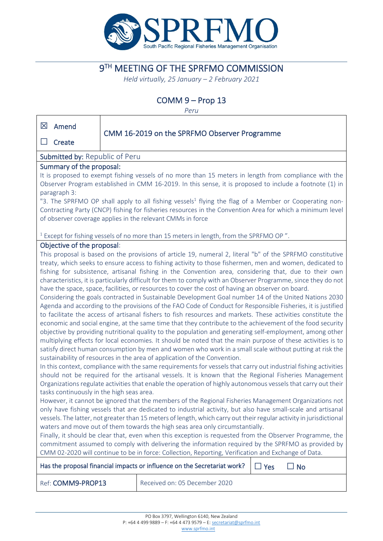

# **9TH MEETING OF THE SPRFMO COMMISSION**

*Held virtually, 25 January – 2 February 2021*

# COMM 9 – Prop 13

*Peru*

| 区<br>Amend                                                                                                                                                                                   |                                              |  |
|----------------------------------------------------------------------------------------------------------------------------------------------------------------------------------------------|----------------------------------------------|--|
| Create                                                                                                                                                                                       | CMM 16-2019 on the SPRFMO Observer Programme |  |
| <b>Submitted by: Republic of Peru</b>                                                                                                                                                        |                                              |  |
| Summary of the proposal:                                                                                                                                                                     |                                              |  |
| It is proposed to exempt fishing vessels of no more than 15 meters in length from compliance with the                                                                                        |                                              |  |
| Observer Program established in CMM 16-2019. In this sense, it is proposed to include a footnote (1) in                                                                                      |                                              |  |
| paragraph 3:                                                                                                                                                                                 |                                              |  |
| "3. The SPRFMO OP shall apply to all fishing vessels <sup>1</sup> flying the flag of a Member or Cooperating non-                                                                            |                                              |  |
| Contracting Party (CNCP) fishing for fisheries resources in the Convention Area for which a minimum level                                                                                    |                                              |  |
| of observer coverage applies in the relevant CMMs in force                                                                                                                                   |                                              |  |
|                                                                                                                                                                                              |                                              |  |
| <sup>1</sup> Except for fishing vessels of no more than 15 meters in length, from the SPRFMO OP".                                                                                            |                                              |  |
| Objective of the proposal:                                                                                                                                                                   |                                              |  |
| This proposal is based on the provisions of article 19, numeral 2, literal "b" of the SPRFMO constitutive                                                                                    |                                              |  |
| treaty, which seeks to ensure access to fishing activity to those fishermen, men and women, dedicated to                                                                                     |                                              |  |
| fishing for subsistence, artisanal fishing in the Convention area, considering that, due to their own                                                                                        |                                              |  |
| characteristics, it is particularly difficult for them to comply with an Observer Programme, since they do not                                                                               |                                              |  |
| have the space, space, facilities, or resources to cover the cost of having an observer on board.                                                                                            |                                              |  |
| Considering the goals contracted in Sustainable Development Goal number 14 of the United Nations 2030                                                                                        |                                              |  |
| Agenda and according to the provisions of the FAO Code of Conduct for Responsible Fisheries, it is justified                                                                                 |                                              |  |
| to facilitate the access of artisanal fishers to fish resources and markets. These activities constitute the                                                                                 |                                              |  |
| economic and social engine, at the same time that they contribute to the achievement of the food security                                                                                    |                                              |  |
| objective by providing nutritional quality to the population and generating self-employment, among other                                                                                     |                                              |  |
| multiplying effects for local economies. It should be noted that the main purpose of these activities is to                                                                                  |                                              |  |
| satisfy direct human consumption by men and women who work in a small scale without putting at risk the                                                                                      |                                              |  |
| sustainability of resources in the area of application of the Convention.<br>In this context, compliance with the same requirements for vessels that carry out industrial fishing activities |                                              |  |
| should not be required for the artisanal vessels. It is known that the Regional Fisheries Management                                                                                         |                                              |  |
| Organizations regulate activities that enable the operation of highly autonomous vessels that carry out their                                                                                |                                              |  |
| tasks continuously in the high seas area.                                                                                                                                                    |                                              |  |
| However, it cannot be ignored that the members of the Regional Fisheries Management Organizations not                                                                                        |                                              |  |
| only have fishing vessels that are dedicated to industrial activity, but also have small-scale and artisanal                                                                                 |                                              |  |
| vessels. The latter, not greater than 15 meters of length, which carry out their regular activity in jurisdictional                                                                          |                                              |  |
| waters and move out of them towards the high seas area only circumstantially.                                                                                                                |                                              |  |
| Finally, it should be clear that, even when this exception is requested from the Observer Programme, the                                                                                     |                                              |  |
| commitment assumed to comply with delivering the information required by the SPRFMO as provided by                                                                                           |                                              |  |
| CMM 02-2020 will continue to be in force: Collection, Reporting, Verification and Exchange of Data.                                                                                          |                                              |  |
| Has the proposal financial impacts or influence on the Secretariat work?<br>$\Box$ Yes<br>$\square$ No                                                                                       |                                              |  |
| Ref: COMM9-PROP13                                                                                                                                                                            | Received on: 05 December 2020                |  |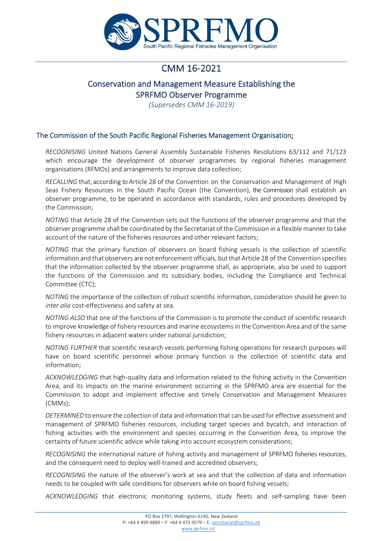

# CMM 16-2021

# Conservation and Management Measure Establishing the SPRFMO Observer Programme

*(Supersedes CMM 16-2019)*

### The Commission of the South Pacific Regional Fisheries Management Organisation;

*RECOGNISING* United Nations General Assembly Sustainable Fisheries Resolutions 63/112 and 71/123 which encourage the development of observer programmes by regional fisheries management organisations (RFMOs) and arrangements to improve data collection;

*RECALLING* that, according to Article 28 of the Convention on the Conservation and Management of High Seas Fishery Resources in the South Pacific Ocean (the Convention), the Commission shall establish an observer programme, to be operated in accordance with standards, rules and procedures developed by the Commission;

*NOTING* that Article 28 of the Convention sets out the functions of the observer programme and that the observer programme shall be coordinated by the Secretariat of the Commission in a flexible manner to take account of the nature of the fisheries resources and other relevant factors;

*NOTING* that the primary function of observers on board fishing vessels is the collection of scientific information and that observers are not enforcement officials, butthat Article 28 of the Convention specifies that the information collected by the observer programme shall, as appropriate, also be used to support the functions of the Commission and its subsidiary bodies, including the Compliance and Technical Committee (CTC);

*NOTING* the importance of the collection of robust scientific information, consideration should be given to *inter alia* cost-effectiveness and safety at sea.

*NOTING ALSO* that one of the functions of the Commission is to promote the conduct of scientific research to improve knowledge of fishery resources and marine ecosystems in the Convention Area and of the same fishery resources in adjacent waters under national jurisdiction;

*NOTING FURTHER* that scientific research vessels performing fishing operations for research purposes will have on board scientific personnel whose primary function is the collection of scientific data and information;

*ACKNOWLEDGING* that high-quality data and information related to the fishing activity in the Convention Area, and its impacts on the marine environment occurring in the SPRFMO area are essential for the Commission to adopt and implement effective and timely Conservation and Management Measures (CMMs);

*DETERMINED* to ensure the collection of data and information that can be used for effective assessment and management of SPRFMO fisheries resources, including target species and bycatch, and interaction of fishing activities with the environment and species occurring in the Convention Area, to improve the certainty of future scientific advice while taking into account ecosystem considerations;

*RECOGNISING* the international nature of fishing activity and management of SPRFMO fisheries resources, and the consequent need to deploy well-trained and accredited observers;

*RECOGNISING* the nature of the observer's work at sea and that the collection of data and information needs to be coupled with safe conditions for observers while on board fishing vessels;

*ACKNOWLEDGING* that electronic monitoring systems, study fleets and self-sampling have been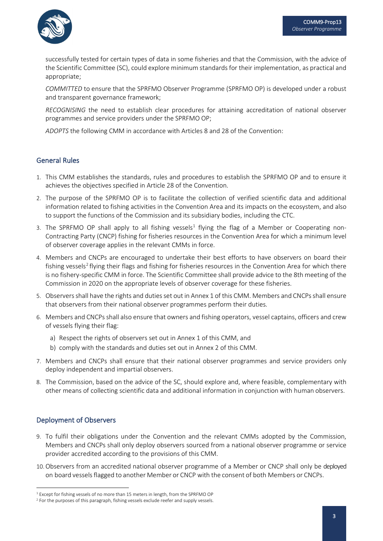

successfully tested for certain types of data in some fisheries and that the Commission, with the advice of the Scientific Committee (SC), could explore minimum standards for their implementation, as practical and appropriate;

*COMMITTED* to ensure that the SPRFMO Observer Programme (SPRFMO OP) is developed under a robust and transparent governance framework;

*RECOGNISING* the need to establish clear procedures for attaining accreditation of national observer programmes and service providers under the SPRFMO OP;

*ADOPTS* the following CMM in accordance with Articles 8 and 28 of the Convention:

### General Rules

- 1. This CMM establishes the standards, rules and procedures to establish the SPRFMO OP and to ensure it achieves the objectives specified in Article 28 of the Convention.
- 2. The purpose of the SPRFMO OP is to facilitate the collection of verified scientific data and additional information related to fishing activities in the Convention Area and its impacts on the ecosystem, and also to support the functions of the Commission and its subsidiary bodies, including the CTC.
- 3. The SPRFMO OP shall apply to all fishing vessels<sup>[1](#page-2-0)</sup> flying the flag of a Member or Cooperating non-Contracting Party (CNCP) fishing for fisheries resources in the Convention Area for which a minimum level of observer coverage applies in the relevant CMMs in force.
- 4. Members and CNCPs are encouraged to undertake their best efforts to have observers on board their fishing vessels<sup>[2](#page-2-1)</sup> flying their flags and fishing for fisheries resources in the Convention Area for which there is no fishery-specific CMM in force. The Scientific Committee shall provide advice to the 8th meeting of the Commission in 2020 on the appropriate levels of observer coverage for these fisheries.
- 5. Observers shall have the rights and duties set out in Annex 1 of this CMM. Members and CNCPs shall ensure that observers from their national observer programmes perform their duties.
- 6. Members and CNCPs shall also ensure that owners and fishing operators, vessel captains, officers and crew of vessels flying their flag:
	- a) Respect the rights of observers set out in Annex 1 of this CMM, and
	- b) comply with the standards and duties set out in Annex 2 of this CMM.
- 7. Members and CNCPs shall ensure that their national observer programmes and service providers only deploy independent and impartial observers.
- 8. The Commission, based on the advice of the SC, should explore and, where feasible, complementary with other means of collecting scientific data and additional information in conjunction with human observers.

# Deployment of Observers

- 9. To fulfil their obligations under the Convention and the relevant CMMs adopted by the Commission, Members and CNCPs shall only deploy observers sourced from a national observer programme or service provider accredited according to the provisions of this CMM.
- 10.Observers from an accredited national observer programme of a Member or CNCP shall only be deployed on board vesselsflagged to another Member or CNCP with the consent of both Members or CNCPs.

<span id="page-2-0"></span><sup>1</sup> Except for fishing vessels of no more than 15 meters in length, from the SPRFMO OP

<span id="page-2-1"></span><sup>2</sup> For the purposes of this paragraph, fishing vessels exclude reefer and supply vessels.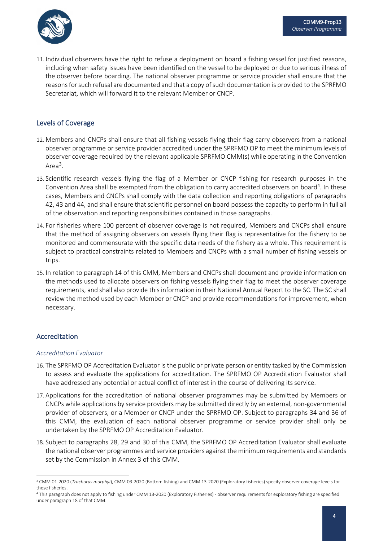

11. Individual observers have the right to refuse a deployment on board a fishing vessel for justified reasons, including when safety issues have been identified on the vessel to be deployed or due to serious illness of the observer before boarding. The national observer programme or service provider shall ensure that the reasons for such refusal are documented and that a copy of such documentation is provided to the SPRFMO Secretariat, which will forward it to the relevant Member or CNCP.

#### Levels of Coverage

- 12. Members and CNCPs shall ensure that all fishing vessels flying their flag carry observers from a national observer programme or service provider accredited under the SPRFMO OP to meet the minimum levels of observer coverage required by the relevant applicable SPRFMO CMM(s) while operating in the Convention Area<sup>[3](#page-3-0)</sup>.
- 13. Scientific research vessels flying the flag of a Member or CNCP fishing for research purposes in the Convention Area shall be exempted from the obligation to carry accredited observers on board<sup>[4](#page-3-1)</sup>. In these cases, Members and CNCPs shall comply with the data collection and reporting obligations of paragraphs 42, 43 and 44, and shall ensure that scientific personnel on board possess the capacity to perform in full all of the observation and reporting responsibilities contained in those paragraphs.
- 14. For fisheries where 100 percent of observer coverage is not required, Members and CNCPs shall ensure that the method of assigning observers on vessels flying their flag is representative for the fishery to be monitored and commensurate with the specific data needs of the fishery as a whole. This requirement is subject to practical constraints related to Members and CNCPs with a small number of fishing vessels or trips.
- 15. In relation to paragraph 14 of this CMM, Members and CNCPs shall document and provide information on the methods used to allocate observers on fishing vessels flying their flag to meet the observer coverage requirements, and shall also provide this information in their National Annual Report to the SC. The SC shall review the method used by each Member or CNCP and provide recommendations for improvement, when necessary.

# Accreditation

#### *Accreditation Evaluator*

- 16. The SPRFMO OP Accreditation Evaluator is the public or private person or entity tasked by the Commission to assess and evaluate the applications for accreditation. The SPRFMO OP Accreditation Evaluator shall have addressed any potential or actual conflict of interest in the course of delivering its service.
- 17. Applications for the accreditation of national observer programmes may be submitted by Members or CNCPs while applications by service providers may be submitted directly by an external, non-governmental provider of observers, or a Member or CNCP under the SPRFMO OP. Subject to paragraphs 34 and 36 of this CMM, the evaluation of each national observer programme or service provider shall only be undertaken by the SPRFMO OP Accreditation Evaluator.
- 18. Subject to paragraphs 28, 29 and 30 of this CMM, the SPRFMO OP Accreditation Evaluator shall evaluate the national observer programmes and service providers against the minimum requirements and standards set by the Commission in Annex 3 of this CMM.

<span id="page-3-0"></span><sup>3</sup> CMM 01-2020 (*Trachurus murphyi*), CMM 03-2020 (Bottom fishing) and CMM 13-2020 (Exploratory fisheries) specify observer coverage levels for these fisheries.

<span id="page-3-1"></span><sup>4</sup> This paragraph does not apply to fishing under CMM 13-2020 (Exploratory Fisheries) - observer requirements for exploratory fishing are specified under paragraph 18 of that CMM.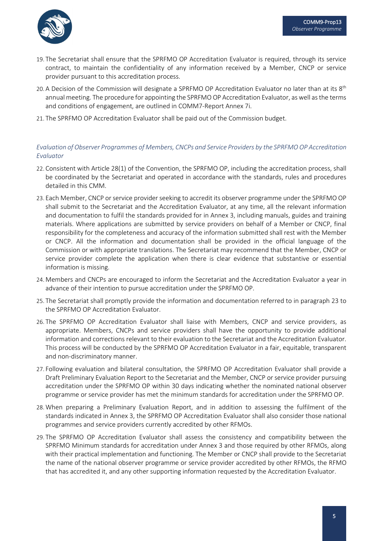

- 19. The Secretariat shall ensure that the SPRFMO OP Accreditation Evaluator is required, through its service contract, to maintain the confidentiality of any information received by a Member, CNCP or service provider pursuant to this accreditation process.
- 20. A Decision of the Commission will designate a SPRFMO OP Accreditation Evaluator no later than at its  $8<sup>th</sup>$ annual meeting. The procedure for appointing the SPRFMO OP Accreditation Evaluator, as well as the terms and conditions of engagement, are outlined in COMM7-Report Annex 7i.
- 21. The SPRFMO OP Accreditation Evaluator shall be paid out of the Commission budget.

#### *Evaluation of Observer Programmes of Members, CNCPs and Service Providers by the SPRFMO OP Accreditation Evaluator*

- 22. Consistent with Article 28(1) of the Convention, the SPRFMO OP, including the accreditation process, shall be coordinated by the Secretariat and operated in accordance with the standards, rules and procedures detailed in this CMM.
- 23. Each Member, CNCP or service provider seeking to accredit its observer programme under the SPRFMO OP shall submit to the Secretariat and the Accreditation Evaluator, at any time, all the relevant information and documentation to fulfil the standards provided for in Annex 3, including manuals, guides and training materials. Where applications are submitted by service providers on behalf of a Member or CNCP, final responsibility for the completeness and accuracy of the information submitted shall rest with the Member or CNCP. All the information and documentation shall be provided in the official language of the Commission or with appropriate translations. The Secretariat may recommend that the Member, CNCP or service provider complete the application when there is clear evidence that substantive or essential information is missing.
- 24. Members and CNCPs are encouraged to inform the Secretariat and the Accreditation Evaluator a year in advance of their intention to pursue accreditation under the SPRFMO OP.
- 25. The Secretariat shall promptly provide the information and documentation referred to in paragraph 23 to the SPRFMO OP Accreditation Evaluator.
- 26. The SPRFMO OP Accreditation Evaluator shall liaise with Members, CNCP and service providers, as appropriate. Members, CNCPs and service providers shall have the opportunity to provide additional information and corrections relevant to their evaluation to the Secretariat and the Accreditation Evaluator. This process will be conducted by the SPRFMO OP Accreditation Evaluator in a fair, equitable, transparent and non-discriminatory manner.
- 27. Following evaluation and bilateral consultation, the SPRFMO OP Accreditation Evaluator shall provide a Draft Preliminary Evaluation Report to the Secretariat and the Member, CNCP or service provider pursuing accreditation under the SPRFMO OP within 30 days indicating whether the nominated national observer programme or service provider has met the minimum standards for accreditation under the SPRFMO OP.
- 28. When preparing a Preliminary Evaluation Report, and in addition to assessing the fulfilment of the standards indicated in Annex 3, the SPRFMO OP Accreditation Evaluator shall also consider those national programmes and service providers currently accredited by other RFMOs.
- 29. The SPRFMO OP Accreditation Evaluator shall assess the consistency and compatibility between the SPRFMO Minimum standards for accreditation under Annex 3 and those required by other RFMOs, along with their practical implementation and functioning. The Member or CNCP shall provide to the Secretariat the name of the national observer programme or service provider accredited by other RFMOs, the RFMO that has accredited it, and any other supporting information requested by the Accreditation Evaluator.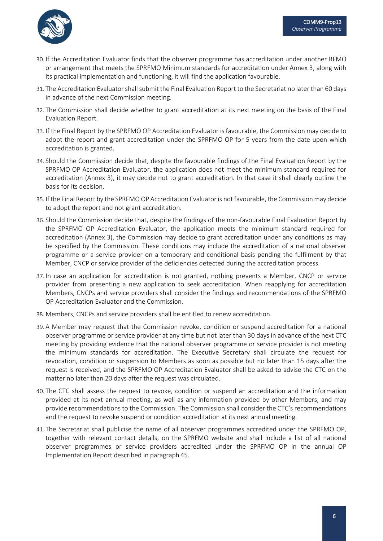

- 30. If the Accreditation Evaluator finds that the observer programme has accreditation under another RFMO or arrangement that meets the SPRFMO Minimum standards for accreditation under Annex 3, along with its practical implementation and functioning, it will find the application favourable.
- 31. The Accreditation Evaluator shall submit the Final Evaluation Report to the Secretariat no later than 60 days in advance of the next Commission meeting.
- 32. The Commission shall decide whether to grant accreditation at its next meeting on the basis of the Final Evaluation Report.
- 33. If the Final Report by the SPRFMO OP Accreditation Evaluator is favourable, the Commission may decide to adopt the report and grant accreditation under the SPRFMO OP for 5 years from the date upon which accreditation is granted.
- 34. Should the Commission decide that, despite the favourable findings of the Final Evaluation Report by the SPRFMO OP Accreditation Evaluator, the application does not meet the minimum standard required for accreditation (Annex 3), it may decide not to grant accreditation. In that case it shall clearly outline the basis for its decision.
- 35. If the Final Report by the SPRFMO OP Accreditation Evaluator is not favourable, the Commission may decide to adopt the report and not grant accreditation.
- 36. Should the Commission decide that, despite the findings of the non-favourable Final Evaluation Report by the SPRFMO OP Accreditation Evaluator, the application meets the minimum standard required for accreditation (Annex 3), the Commission may decide to grant accreditation under any conditions as may be specified by the Commission. These conditions may include the accreditation of a national observer programme or a service provider on a temporary and conditional basis pending the fulfilment by that Member, CNCP or service provider of the deficiencies detected during the accreditation process.
- 37. In case an application for accreditation is not granted, nothing prevents a Member, CNCP or service provider from presenting a new application to seek accreditation. When reapplying for accreditation Members, CNCPs and service providers shall consider the findings and recommendations of the SPRFMO OP Accreditation Evaluator and the Commission.
- 38. Members, CNCPs and service providers shall be entitled to renew accreditation.
- 39. A Member may request that the Commission revoke, condition or suspend accreditation for a national observer programme or service provider at any time but not later than 30 days in advance of the next CTC meeting by providing evidence that the national observer programme or service provider is not meeting the minimum standards for accreditation. The Executive Secretary shall circulate the request for revocation, condition or suspension to Members as soon as possible but no later than 15 days after the request is received, and the SPRFMO OP Accreditation Evaluator shall be asked to advise the CTC on the matter no later than 20 days after the request was circulated.
- 40. The CTC shall assess the request to revoke, condition or suspend an accreditation and the information provided at its next annual meeting, as well as any information provided by other Members, and may provide recommendations to the Commission. The Commission shall consider the CTC's recommendations and the request to revoke suspend or condition accreditation at its next annual meeting.
- 41. The Secretariat shall publicise the name of all observer programmes accredited under the SPRFMO OP, together with relevant contact details, on the SPRFMO website and shall include a list of all national observer programmes or service providers accredited under the SPRFMO OP in the annual OP Implementation Report described in paragraph 45.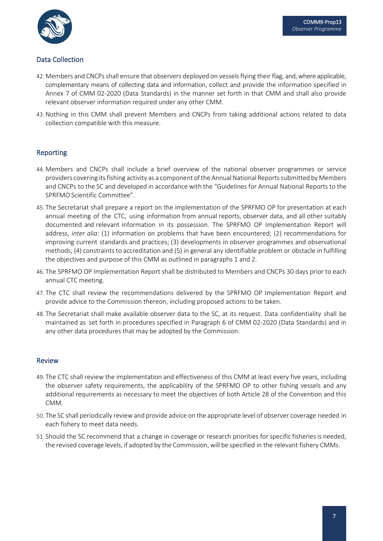

# Data Collection

- 42. Members and CNCPsshall ensure that observers deployed on vessels flying their flag, and, where applicable, complementary means of collecting data and information, collect and provide the information specified in Annex 7 of CMM 02-2020 (Data Standards) in the manner set forth in that CMM and shall also provide relevant observer information required under any other CMM.
- 43.Nothing in this CMM shall prevent Members and CNCPs from taking additional actions related to data collection compatible with this measure.

# Reporting

- 44. Members and CNCPs shall include a brief overview of the national observer programmes or service providers covering its fishing activity as a component of the Annual National Reports submitted by Members and CNCPs to the SC and developed in accordance with the "Guidelines for Annual National Reports to the SPRFMO Scientific Committee".
- 45. The Secretariat shall prepare a report on the implementation of the SPRFMO OP for presentation at each annual meeting of the CTC, using information from annual reports, observer data, and all other suitably documented and relevant information in its possession. The SPRFMO OP Implementation Report will address, *inter alia*: (1) information on problems that have been encountered; (2) recommendations for improving current standards and practices; (3) developments in observer programmes and observational methods; (4) constraints to accreditation and (5) in general any identifiable problem or obstacle in fulfilling the objectives and purpose of this CMM as outlined in paragraphs 1 and 2.
- 46. The SPRFMO OP Implementation Report shall be distributed to Members and CNCPs 30 days prior to each annual CTC meeting.
- 47. The CTC shall review the recommendations delivered by the SPRFMO OP Implementation Report and provide advice to the Commission thereon, including proposed actions to be taken.
- 48. The Secretariat shall make available observer data to the SC, at its request. Data confidentiality shall be maintained as set forth in procedures specified in Paragraph 6 of CMM 02-2020 (Data Standards) and in any other data procedures that may be adopted by the Commission.

#### Review

- 49. The CTC shall review the implementation and effectiveness of this CMM at least every five years, including the observer safety requirements, the applicability of the SPRFMO OP to other fishing vessels and any additional requirements as necessary to meet the objectives of both Article 28 of the Convention and this CMM.
- 50. The SC shall periodically review and provide advice on the appropriate level of observer coverage needed in each fishery to meet data needs.
- 51. Should the SC recommend that a change in coverage or research priorities forspecific fisheriesis needed, the revised coverage levels, if adopted by the Commission, will be specified in the relevant fishery CMMs.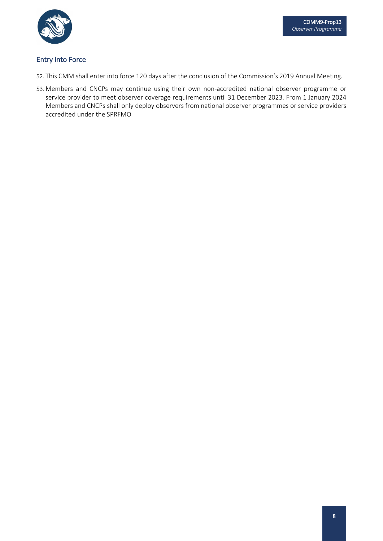

# Entry into Force

- 52. This CMM shall enter into force 120 days after the conclusion of the Commission's 2019 Annual Meeting.
- 53. Members and CNCPs may continue using their own non-accredited national observer programme or service provider to meet observer coverage requirements until 31 December 2023. From 1 January 2024 Members and CNCPs shall only deploy observers from national observer programmes or service providers accredited under the SPRFMO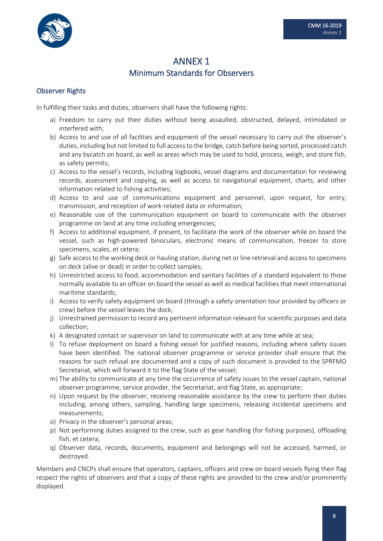

# ANNEX 1 Minimum Standards for Observers

### Observer Rights

In fulfilling their tasks and duties, observers shall have the following rights:

- a) Freedom to carry out their duties without being assaulted, obstructed, delayed, intimidated or interfered with;
- b) Access to and use of all facilities and equipment of the vessel necessary to carry out the observer's duties, including but not limited to full access to the bridge, catch before being sorted, processed catch and any bycatch on board, as well as areas which may be used to hold, process, weigh, and store fish, as safety permits;
- c) Access to the vessel's records, including logbooks, vessel diagrams and documentation for reviewing records, assessment and copying, as well as access to navigational equipment, charts, and other information related to fishing activities;
- d) Access to and use of communications equipment and personnel, upon request, for entry, transmission, and reception of work-related data or information;
- e) Reasonable use of the communication equipment on board to communicate with the observer programme on land at any time including emergencies;
- f) Access to additional equipment, if present, to facilitate the work of the observer while on board the vessel, such as high-powered binoculars, electronic means of communication, freezer to store specimens, scales, et cetera;
- g) Safe access to the working deck or hauling station, during net or line retrieval and access to specimens on deck (alive or dead) in order to collect samples;
- h) Unrestricted access to food, accommodation and sanitary facilities of a standard equivalent to those normally available to an officer on board the vessel as well as medical facilities that meet international maritime standards;
- i) Access to verify safety equipment on board (through a safety orientation tour provided by officers or crew) before the vessel leaves the dock;
- j) Unrestrained permission to record any pertinent information relevant for scientific purposes and data collection;
- k) A designated contact or supervisor on land to communicate with at any time while at sea;
- l) To refuse deployment on board a fishing vessel for justified reasons, including where safety issues have been identified. The national observer programme or service provider shall ensure that the reasons for such refusal are documented and a copy of such document is provided to the SPRFMO Secretariat, which will forward it to the flag State of the vessel;
- m) The ability to communicate at any time the occurrence of safety issues to the vessel captain, national observer programme, service provider, the Secretariat, and flag State, as appropriate;
- n) Upon request by the observer, receiving reasonable assistance by the crew to perform their duties including, among others, sampling, handling large specimens, releasing incidental specimens and measurements;
- o) Privacy in the observer's personal areas;
- p) Not performing duties assigned to the crew, such as gear handling (for fishing purposes), offloading fish, et cetera;
- q) Observer data, records, documents, equipment and belongings will not be accessed, harmed, or destroyed.

Members and CNCPs shall ensure that operators, captains, officers and crew on board vessels flying their flag respect the rights of observers and that a copy of these rights are provided to the crew and/or prominently displayed.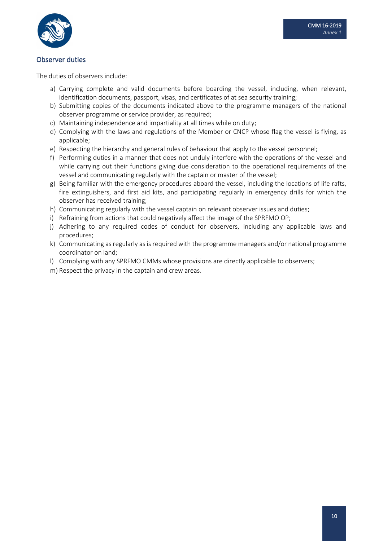

### Observer duties

The duties of observers include:

- a) Carrying complete and valid documents before boarding the vessel, including, when relevant, identification documents, passport, visas, and certificates of at sea security training;
- b) Submitting copies of the documents indicated above to the programme managers of the national observer programme or service provider, as required;
- c) Maintaining independence and impartiality at all times while on duty;
- d) Complying with the laws and regulations of the Member or CNCP whose flag the vessel is flying, as applicable;
- e) Respecting the hierarchy and general rules of behaviour that apply to the vessel personnel;
- f) Performing duties in a manner that does not unduly interfere with the operations of the vessel and while carrying out their functions giving due consideration to the operational requirements of the vessel and communicating regularly with the captain or master of the vessel;
- g) Being familiar with the emergency procedures aboard the vessel, including the locations of life rafts, fire extinguishers, and first aid kits, and participating regularly in emergency drills for which the observer has received training;
- h) Communicating regularly with the vessel captain on relevant observer issues and duties;
- i) Refraining from actions that could negatively affect the image of the SPRFMO OP;
- j) Adhering to any required codes of conduct for observers, including any applicable laws and procedures;
- k) Communicating as regularly as is required with the programme managers and/or national programme coordinator on land;
- l) Complying with any SPRFMO CMMs whose provisions are directly applicable to observers;
- m) Respect the privacy in the captain and crew areas.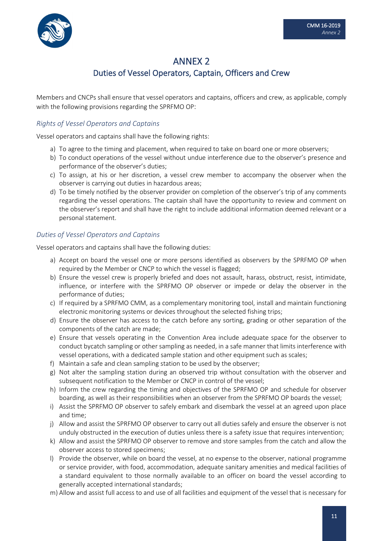

# ANNEX 2 Duties of Vessel Operators, Captain, Officers and Crew

Members and CNCPs shall ensure that vessel operators and captains, officers and crew, as applicable, comply with the following provisions regarding the SPRFMO OP:

### *Rights of Vessel Operators and Captains*

Vessel operators and captains shall have the following rights:

- a) To agree to the timing and placement, when required to take on board one or more observers;
- b) To conduct operations of the vessel without undue interference due to the observer's presence and performance of the observer's duties;
- c) To assign, at his or her discretion, a vessel crew member to accompany the observer when the observer is carrying out duties in hazardous areas;
- d) To be timely notified by the observer provider on completion of the observer's trip of any comments regarding the vessel operations. The captain shall have the opportunity to review and comment on the observer's report and shall have the right to include additional information deemed relevant or a personal statement.

### *Duties of Vessel Operators and Captains*

Vessel operators and captains shall have the following duties:

- a) Accept on board the vessel one or more persons identified as observers by the SPRFMO OP when required by the Member or CNCP to which the vessel is flagged;
- b) Ensure the vessel crew is properly briefed and does not assault, harass, obstruct, resist, intimidate, influence, or interfere with the SPRFMO OP observer or impede or delay the observer in the performance of duties;
- c) If required by a SPRFMO CMM, as a complementary monitoring tool, install and maintain functioning electronic monitoring systems or devices throughout the selected fishing trips;
- d) Ensure the observer has access to the catch before any sorting, grading or other separation of the components of the catch are made;
- e) Ensure that vessels operating in the Convention Area include adequate space for the observer to conduct bycatch sampling or other sampling as needed, in a safe manner that limits interference with vessel operations, with a dedicated sample station and other equipment such as scales;
- f) Maintain a safe and clean sampling station to be used by the observer;
- g) Not alter the sampling station during an observed trip without consultation with the observer and subsequent notification to the Member or CNCP in control of the vessel;
- h) Inform the crew regarding the timing and objectives of the SPRFMO OP and schedule for observer boarding, as well as their responsibilities when an observer from the SPRFMO OP boards the vessel;
- i) Assist the SPRFMO OP observer to safely embark and disembark the vessel at an agreed upon place and time;
- j) Allow and assist the SPRFMO OP observer to carry out all duties safely and ensure the observer is not unduly obstructed in the execution of duties unless there is a safety issue that requires intervention;
- k) Allow and assist the SPRFMO OP observer to remove and store samples from the catch and allow the observer access to stored specimens;
- l) Provide the observer, while on board the vessel, at no expense to the observer, national programme or service provider, with food, accommodation, adequate sanitary amenities and medical facilities of a standard equivalent to those normally available to an officer on board the vessel according to generally accepted international standards;
- m) Allow and assist full access to and use of all facilities and equipment of the vessel that is necessary for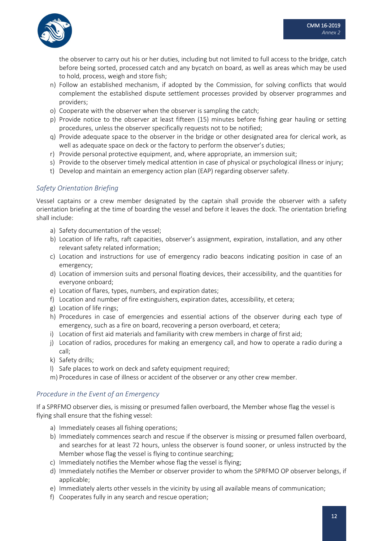

the observer to carry out his or her duties, including but not limited to full access to the bridge, catch before being sorted, processed catch and any bycatch on board, as well as areas which may be used to hold, process, weigh and store fish;

- n) Follow an established mechanism, if adopted by the Commission, for solving conflicts that would complement the established dispute settlement processes provided by observer programmes and providers;
- o) Cooperate with the observer when the observer is sampling the catch;
- p) Provide notice to the observer at least fifteen (15) minutes before fishing gear hauling or setting procedures, unless the observer specifically requests not to be notified;
- q) Provide adequate space to the observer in the bridge or other designated area for clerical work, as well as adequate space on deck or the factory to perform the observer's duties;
- r) Provide personal protective equipment, and, where appropriate, an immersion suit;
- s) Provide to the observer timely medical attention in case of physical or psychological illness or injury;
- t) Develop and maintain an emergency action plan (EAP) regarding observer safety.

#### *Safety Orientation Briefing*

Vessel captains or a crew member designated by the captain shall provide the observer with a safety orientation briefing at the time of boarding the vessel and before it leaves the dock. The orientation briefing shall include:

- a) Safety documentation of the vessel;
- b) Location of life rafts, raft capacities, observer's assignment, expiration, installation, and any other relevant safety related information;
- c) Location and instructions for use of emergency radio beacons indicating position in case of an emergency;
- d) Location of immersion suits and personal floating devices, their accessibility, and the quantities for everyone onboard;
- e) Location of flares, types, numbers, and expiration dates;
- f) Location and number of fire extinguishers, expiration dates, accessibility, et cetera;
- g) Location of life rings;
- h) Procedures in case of emergencies and essential actions of the observer during each type of emergency, such as a fire on board, recovering a person overboard, et cetera;
- i) Location of first aid materials and familiarity with crew members in charge of first aid;
- j) Location of radios, procedures for making an emergency call, and how to operate a radio during a call;
- k) Safety drills;
- l) Safe places to work on deck and safety equipment required;
- m) Procedures in case of illness or accident of the observer or any other crew member.

#### *Procedure in the Event of an Emergency*

If a SPRFMO observer dies, is missing or presumed fallen overboard, the Member whose flag the vessel is flying shall ensure that the fishing vessel:

- a) Immediately ceases all fishing operations;
- b) Immediately commences search and rescue if the observer is missing or presumed fallen overboard, and searches for at least 72 hours, unless the observer is found sooner, or unless instructed by the Member whose flag the vessel is flying to continue searching;
- c) Immediately notifies the Member whose flag the vessel is flying;
- d) Immediately notifies the Member or observer provider to whom the SPRFMO OP observer belongs, if applicable;
- e) Immediately alerts other vessels in the vicinity by using all available means of communication;
- f) Cooperates fully in any search and rescue operation;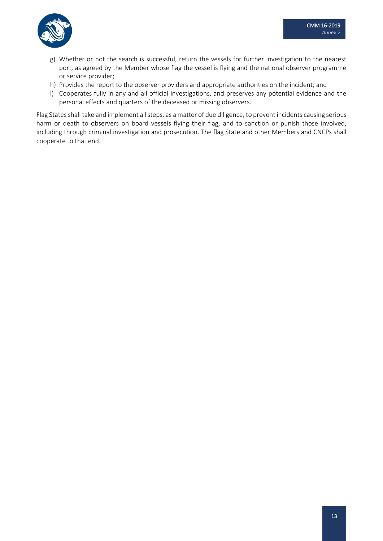

- g) Whether or not the search is successful, return the vessels for further investigation to the nearest port, as agreed by the Member whose flag the vessel is flying and the national observer programme or service provider;
- h) Provides the report to the observer providers and appropriate authorities on the incident; and
- i) Cooperates fully in any and all official investigations, and preserves any potential evidence and the personal effects and quarters of the deceased or missing observers.

Flag States shall take and implement all steps, as a matter of due diligence, to prevent incidents causing serious harm or death to observers on board vessels flying their flag, and to sanction or punish those involved, including through criminal investigation and prosecution. The flag State and other Members and CNCPs shall cooperate to that end.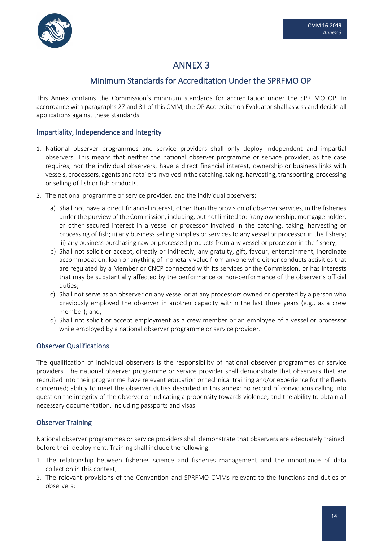

# ANNEX 3

# Minimum Standards for Accreditation Under the SPRFMO OP

This Annex contains the Commission's minimum standards for accreditation under the SPRFMO OP. In accordance with paragraphs 27 and 31 of this CMM, the OP Accreditation Evaluator shall assess and decide all applications against these standards.

# Impartiality, Independence and Integrity

- 1. National observer programmes and service providers shall only deploy independent and impartial observers. This means that neither the national observer programme or service provider, as the case requires, nor the individual observers, have a direct financial interest, ownership or business links with vessels, processors, agents and retailers involved in the catching, taking, harvesting, transporting, processing or selling of fish or fish products.
- 2. The national programme or service provider, and the individual observers:
	- a) Shall not have a direct financial interest, other than the provision of observerservices, in the fisheries under the purview of the Commission, including, but not limited to: i) any ownership, mortgage holder, or other secured interest in a vessel or processor involved in the catching, taking, harvesting or processing of fish; ii) any business selling supplies or services to any vessel or processor in the fishery; iii) any business purchasing raw or processed products from any vessel or processor in the fishery;
	- b) Shall not solicit or accept, directly or indirectly, any gratuity, gift, favour, entertainment, inordinate accommodation, loan or anything of monetary value from anyone who either conducts activities that are regulated by a Member or CNCP connected with its services or the Commission, or has interests that may be substantially affected by the performance or non-performance of the observer's official duties;
	- c) Shall not serve as an observer on any vessel or at any processors owned or operated by a person who previously employed the observer in another capacity within the last three years (e.g., as a crew member); and,
	- d) Shall not solicit or accept employment as a crew member or an employee of a vessel or processor while employed by a national observer programme or service provider.

#### Observer Qualifications

The qualification of individual observers is the responsibility of national observer programmes or service providers. The national observer programme or service provider shall demonstrate that observers that are recruited into their programme have relevant education or technical training and/or experience for the fleets concerned; ability to meet the observer duties described in this annex; no record of convictions calling into question the integrity of the observer or indicating a propensity towards violence; and the ability to obtain all necessary documentation, including passports and visas.

# Observer Training

National observer programmes or service providers shall demonstrate that observers are adequately trained before their deployment. Training shall include the following:

- 1. The relationship between fisheries science and fisheries management and the importance of data collection in this context;
- 2. The relevant provisions of the Convention and SPRFMO CMMs relevant to the functions and duties of observers;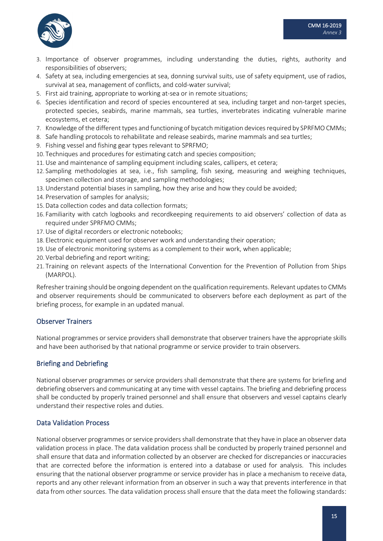

- 3. Importance of observer programmes, including understanding the duties, rights, authority and responsibilities of observers;
- 4. Safety at sea, including emergencies at sea, donning survival suits, use of safety equipment, use of radios, survival at sea, management of conflicts, and cold-water survival;
- 5. First aid training, appropriate to working at-sea or in remote situations;
- 6. Species identification and record of species encountered at sea, including target and non-target species, protected species, seabirds, marine mammals, sea turtles, invertebrates indicating vulnerable marine ecosystems, et cetera;
- 7. Knowledge of the different types and functioning of bycatch mitigation devices required by SPRFMO CMMs;
- 8. Safe handling protocols to rehabilitate and release seabirds, marine mammals and sea turtles;
- 9. Fishing vessel and fishing gear types relevant to SPRFMO;
- 10. Techniques and procedures for estimating catch and species composition;
- 11.Use and maintenance of sampling equipment including scales, callipers, et cetera;
- 12. Sampling methodologies at sea, i.e., fish sampling, fish sexing, measuring and weighing techniques, specimen collection and storage, and sampling methodologies;
- 13.Understand potential biases in sampling, how they arise and how they could be avoided;
- 14. Preservation of samples for analysis;
- 15.Data collection codes and data collection formats;
- 16. Familiarity with catch logbooks and recordkeeping requirements to aid observers' collection of data as required under SPRFMO CMMs;
- 17.Use of digital recorders or electronic notebooks;
- 18. Electronic equipment used for observer work and understanding their operation;
- 19.Use of electronic monitoring systems as a complement to their work, when applicable;
- 20. Verbal debriefing and report writing;
- 21. Training on relevant aspects of the International Convention for the Prevention of Pollution from Ships (MARPOL).

Refresher training should be ongoing dependent on the qualification requirements. Relevant updates to CMMs and observer requirements should be communicated to observers before each deployment as part of the briefing process, for example in an updated manual.

#### Observer Trainers

National programmes or service providers shall demonstrate that observer trainers have the appropriate skills and have been authorised by that national programme or service provider to train observers.

# Briefing and Debriefing

National observer programmes or service providers shall demonstrate that there are systems for briefing and debriefing observers and communicating at any time with vessel captains. The briefing and debriefing process shall be conducted by properly trained personnel and shall ensure that observers and vessel captains clearly understand their respective roles and duties.

#### Data Validation Process

National observer programmes or service providers shall demonstrate that they have in place an observer data validation process in place. The data validation process shall be conducted by properly trained personnel and shall ensure that data and information collected by an observer are checked for discrepancies or inaccuracies that are corrected before the information is entered into a database or used for analysis. This includes ensuring that the national observer programme or service provider has in place a mechanism to receive data, reports and any other relevant information from an observer in such a way that prevents interference in that data from other sources. The data validation process shall ensure that the data meet the following standards: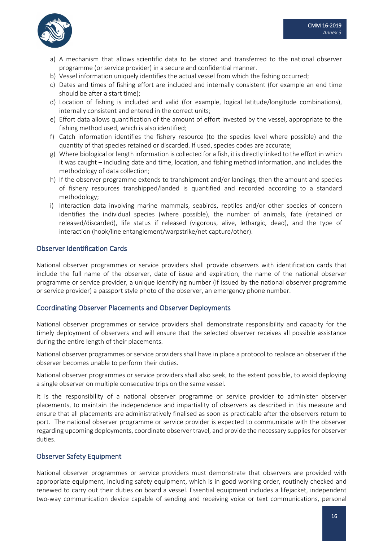

- a) A mechanism that allows scientific data to be stored and transferred to the national observer programme (or service provider) in a secure and confidential manner.
- b) Vessel information uniquely identifies the actual vessel from which the fishing occurred;
- c) Dates and times of fishing effort are included and internally consistent (for example an end time should be after a start time);
- d) Location of fishing is included and valid (for example, logical latitude/longitude combinations), internally consistent and entered in the correct units;
- e) Effort data allows quantification of the amount of effort invested by the vessel, appropriate to the fishing method used, which is also identified;
- f) Catch information identifies the fishery resource (to the species level where possible) and the quantity of that species retained or discarded. If used, species codes are accurate;
- g) Where biological or length information is collected for a fish, it is directly linked to the effort in which it was caught – including date and time, location, and fishing method information, and includes the methodology of data collection;
- h) If the observer programme extends to transhipment and/or landings, then the amount and species of fishery resources transhipped/landed is quantified and recorded according to a standard methodology;
- i) Interaction data involving marine mammals, seabirds, reptiles and/or other species of concern identifies the individual species (where possible), the number of animals, fate (retained or released/discarded), life status if released (vigorous, alive, lethargic, dead), and the type of interaction (hook/line entanglement/warpstrike/net capture/other).

#### Observer Identification Cards

National observer programmes or service providers shall provide observers with identification cards that include the full name of the observer, date of issue and expiration, the name of the national observer programme or service provider, a unique identifying number (if issued by the national observer programme or service provider) a passport style photo of the observer, an emergency phone number.

#### Coordinating Observer Placements and Observer Deployments

National observer programmes or service providers shall demonstrate responsibility and capacity for the timely deployment of observers and will ensure that the selected observer receives all possible assistance during the entire length of their placements.

National observer programmes or service providers shall have in place a protocol to replace an observer if the observer becomes unable to perform their duties.

National observer programmes or service providers shall also seek, to the extent possible, to avoid deploying a single observer on multiple consecutive trips on the same vessel.

It is the responsibility of a national observer programme or service provider to administer observer placements, to maintain the independence and impartiality of observers as described in this measure and ensure that all placements are administratively finalised as soon as practicable after the observers return to port. The national observer programme or service provider is expected to communicate with the observer regarding upcoming deployments, coordinate observer travel, and provide the necessary supplies for observer duties.

#### Observer Safety Equipment

National observer programmes or service providers must demonstrate that observers are provided with appropriate equipment, including safety equipment, which is in good working order, routinely checked and renewed to carry out their duties on board a vessel. Essential equipment includes a lifejacket, independent two-way communication device capable of sending and receiving voice or text communications, personal